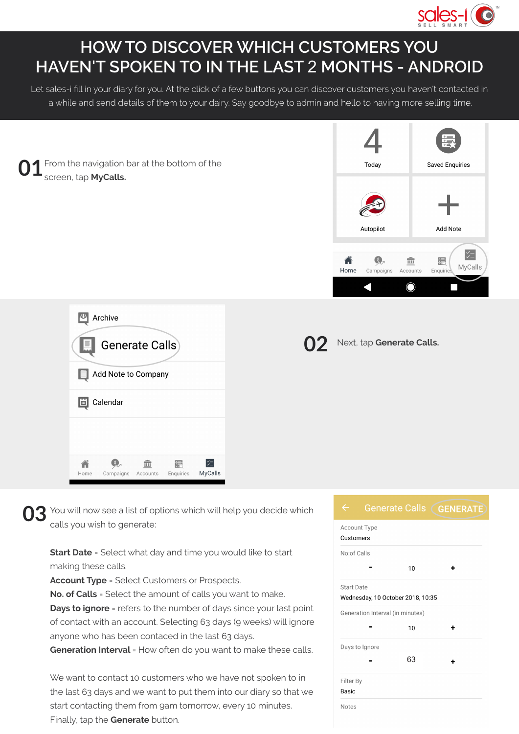

## **HOW TO DISCOVER WHICH CUSTOMERS YOU HAVEN'T SPOKEN TO IN THE LAST** 2 **MONTHS - ANDROID**

Let sales-i fill in your diary for you. At the click of a few buttons you can discover customers you haven't contacted in a while and send details of them to your dairy. Say goodbye to admin and hello to having more selling time.

**01** From the navigation bar at the bottom of the **Saved Enquiries** Today screen, tap **MyCalls.** Add Note **Autopilot**  $\frac{1}{2}$ A  $\bigcirc$ 編  $\widehat{\mathbb{m}}$ MyCalls Home Campaigns Accounts Fnguirie ∩ Ξ 44 Archive Next, tap **Generate Calls. Generate Calls** Add Note to Company Calendar 圖

**03** You will now see a list of options which will help you decide which cannot be a generate: calls you wish to generate:

鳔

Enquiries

 $\leq -$ 

**MyCalls** 

**Start Date** = Select what day and time you would like to start making these calls.

**Account Type** = Select Customers or Prospects.

 $\widehat{\overline{\mathbb{m}}}$ 

Accounts

 $\circ$ 

Campaigns

Home

**No. of Calls** = Select the amount of calls you want to make.

**Days to ignore** = refers to the number of days since your last point of contact with an account. Selecting 63 days (9 weeks) will ignore anyone who has been contaced in the last 63 days.

**Generation Interval** = How often do you want to make these calls.

We want to contact 10 customers who we have not spoken to in the last 63 days and we want to put them into our diary so that we start contacting them from 9am tomorrow, every 10 minutes. Finally, tap the **Generate** button.

## **Generate Calls GENERATE**

Account Type Customers No:of Calls  $10$  $\ddot{\phantom{1}}$ Start Date Wednesday, 10 October 2018, 10:35 Generation Interval (in minutes)  $10$ 4 Days to Ignore 63 $\overline{\phantom{a}}$  $\ddot{\bullet}$ Filter By Basic Notes